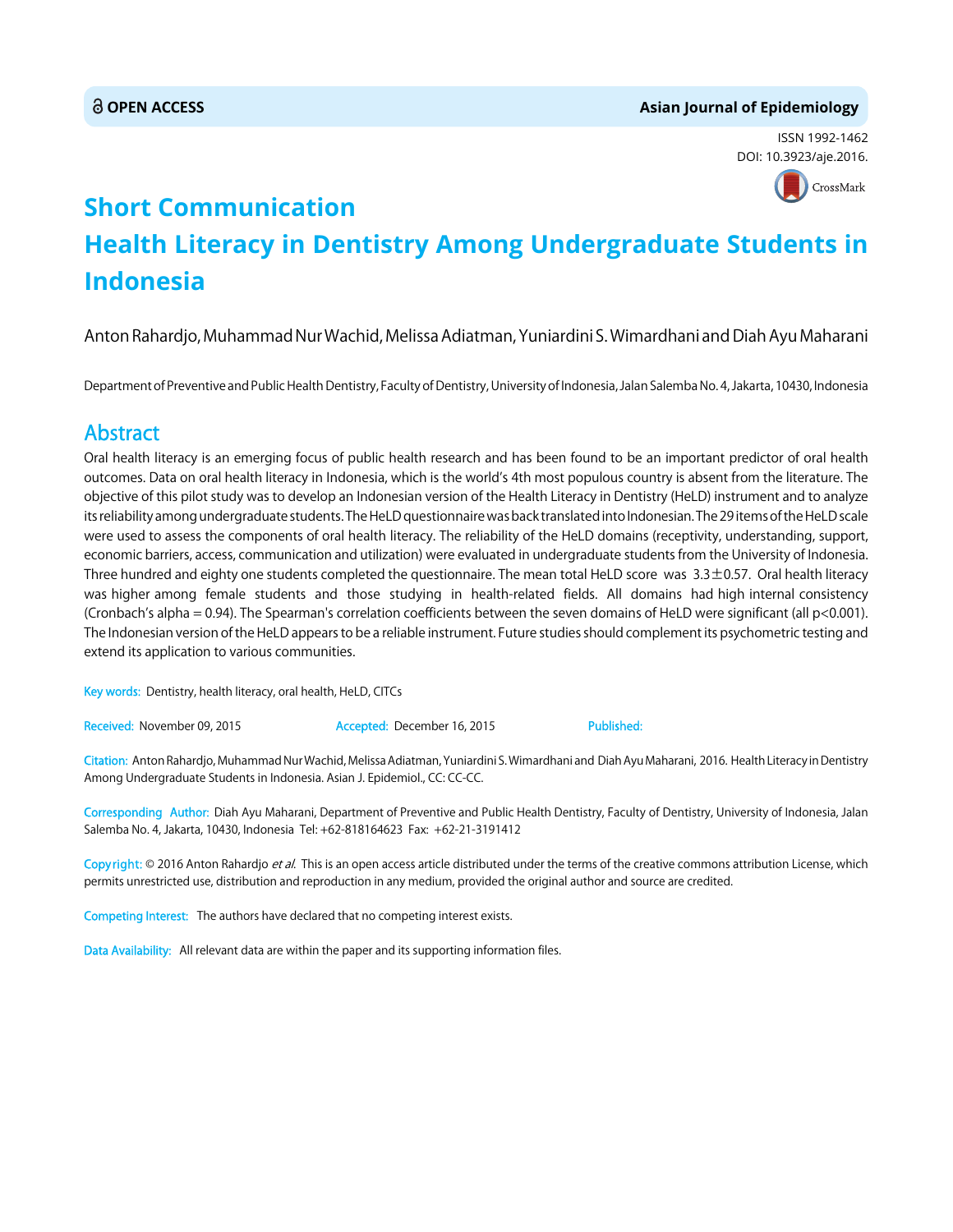# **OPEN ACCESS Asian Journal of Epidemiology**

ISSN 1992-1462 DOI: 10.3923/aje.2016.



# **Short Communication Health Literacy in Dentistry Among Undergraduate Students in Indonesia**

Anton Rahardjo, Muhammad Nur Wachid, Melissa Adiatman, Yuniardini S. Wimardhani and Diah Ayu Maharani

Department of Preventive and Public Health Dentistry, Faculty of Dentistry, University of Indonesia, Jalan Salemba No. 4, Jakarta, 10430, Indonesia

# Abstract

Oral health literacy is an emerging focus of public health research and has been found to be an important predictor of oral health outcomes. Data on oral health literacy in Indonesia, which is the world's 4th most populous country is absent from the literature. The objective of this pilot study was to develop an Indonesian version of the Health Literacy in Dentistry (HeLD) instrument and to analyze its reliability among undergraduate students. The HeLD questionnaire was back translated into Indonesian. The 29 items of the HeLD scale were used to assess the components of oral health literacy. The reliability of the HeLD domains (receptivity, understanding, support, economic barriers, access, communication and utilization) were evaluated in undergraduate students from the University of Indonesia. Three hundred and eighty one students completed the questionnaire. The mean total HeLD score was  $3.3\pm0.57$ . Oral health literacy was higher among female students and those studying in health-related fields. All domains had high internal consistency (Cronbach's alpha = 0.94). The Spearman's correlation coefficients between the seven domains of HeLD were significant (all p<0.001). The Indonesian version of the HeLD appears to be a reliable instrument. Future studies should complement its psychometric testing and extend its application to various communities.

Key words: Dentistry, health literacy, oral health, HeLD, CITCs

Received: November 09, 2015 **Accepted: December 16, 2015** Published:

Citation: Anton Rahardjo, Muhammad Nur Wachid, Melissa Adiatman, Yuniardini S. Wimardhani and Diah Ayu Maharani, 2016. Health Literacy in Dentistry Among Undergraduate Students in Indonesia. Asian J. Epidemiol., CC: CC-CC.

Corresponding Author: Diah Ayu Maharani, Department of Preventive and Public Health Dentistry, Faculty of Dentistry, University of Indonesia, Jalan Salemba No. 4, Jakarta, 10430, Indonesia Tel: +62-818164623 Fax: +62-21-3191412

Copyright: © 2016 Anton Rahardjo et al. This is an open access article distributed under the terms of the creative commons attribution License, which permits unrestricted use, distribution and reproduction in any medium, provided the original author and source are credited.

Competing Interest: The authors have declared that no competing interest exists.

Data Availability: All relevant data are within the paper and its supporting information files.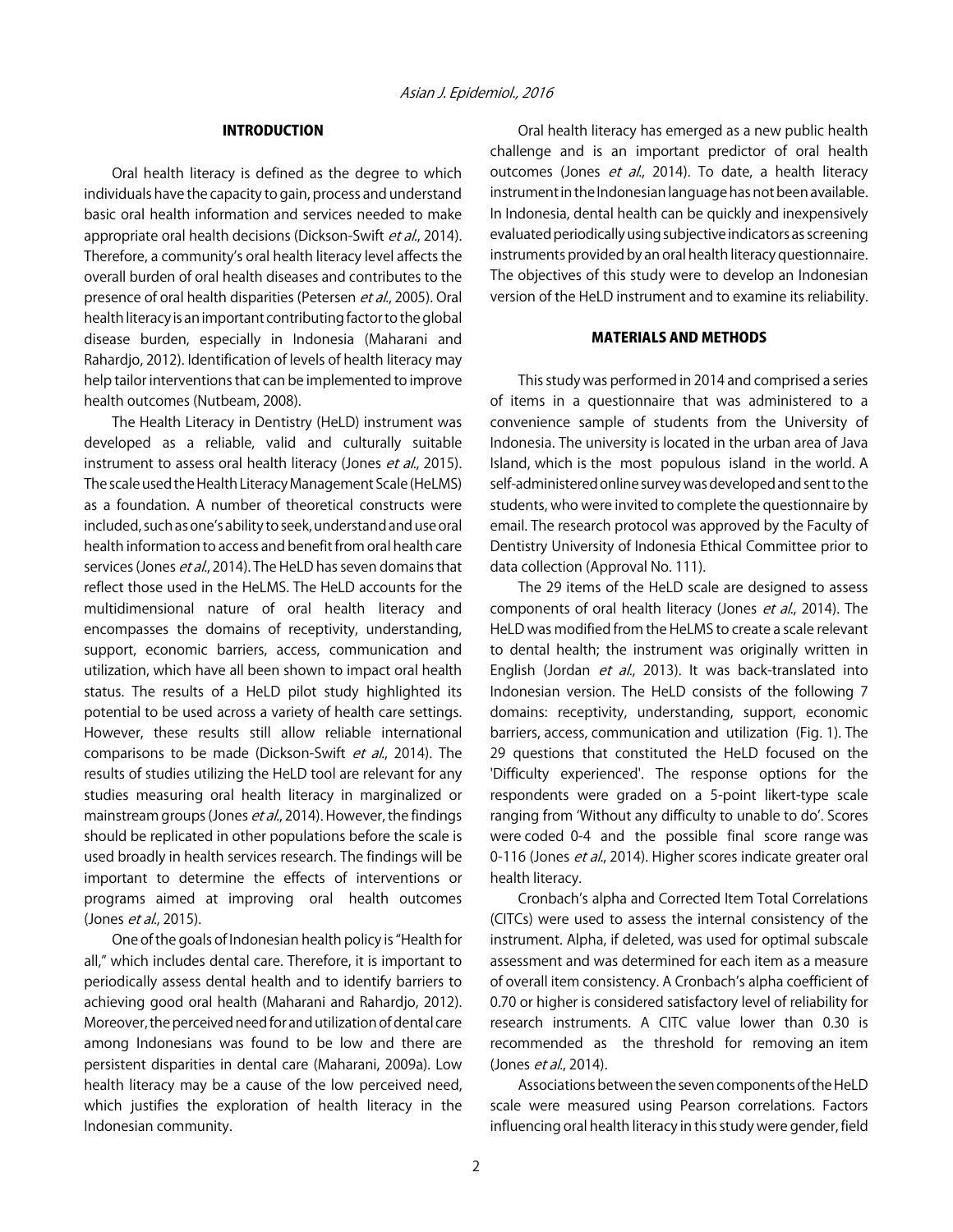# INTRODUCTION

Oral health literacy is defined as the degree to which individuals have the capacity to gain, process and understand basic oral health information and services needed to make appropriate oral health decisions (Dickson-Swift et al., 2014). Therefore, a community's oral health literacy level affects the overall burden of oral health diseases and contributes to the presence of oral health disparities (Petersen et al., 2005). Oral health literacy is an important contributing factor to the global disease burden, especially in Indonesia (Maharani and Rahardjo, 2012). Identification of levels of health literacy may help tailor interventions that can be implemented to improve health outcomes (Nutbeam, 2008).

The Health Literacy in Dentistry (HeLD) instrument was developed as a reliable, valid and culturally suitable instrument to assess oral health literacy (Jones et al., 2015). The scale used the Health Literacy Management Scale (HeLMS) as a foundation. A number of theoretical constructs were included, such as one's ability to seek, understand and use oral health information to access and benefit from oral health care services (Jones et al., 2014). The HeLD has seven domains that reflect those used in the HeLMS. The HeLD accounts for the multidimensional nature of oral health literacy and encompasses the domains of receptivity, understanding, support, economic barriers, access, communication and utilization, which have all been shown to impact oral health status. The results of a HeLD pilot study highlighted its potential to be used across a variety of health care settings. However, these results still allow reliable international comparisons to be made (Dickson-Swift et al., 2014). The results of studies utilizing the HeLD tool are relevant for any studies measuring oral health literacy in marginalized or mainstream groups (Jones *et al.*, 2014). However, the findings should be replicated in other populations before the scale is used broadly in health services research. The findings will be important to determine the effects of interventions or programs aimed at improving oral health outcomes (Jones *et al.*, 2015).

One of the goals of Indonesian health policy is "Health for all," which includes dental care. Therefore, it is important to periodically assess dental health and to identify barriers to achieving good oral health (Maharani and Rahardjo, 2012). Moreover, the perceived need for and utilization of dental care among Indonesians was found to be low and there are persistent disparities in dental care (Maharani, 2009a). Low health literacy may be a cause of the low perceived need, which justifies the exploration of health literacy in the Indonesian community.

Oral health literacy has emerged as a new public health challenge and is an important predictor of oral health outcomes (Jones et al., 2014). To date, a health literacy instrument in the Indonesian language has not been available. In Indonesia, dental health can be quickly and inexpensively evaluated periodically using subjective indicators as screening instruments provided by an oral health literacy questionnaire. The objectives of this study were to develop an Indonesian version of the HeLD instrument and to examine its reliability.

## MATERIALS AND METHODS

This study was performed in 2014 and comprised a series of items in a questionnaire that was administered to a convenience sample of students from the University of Indonesia. The university is located in the urban area of Java Island, which is the most populous island in the world. A self-administered online survey was developed and sent to the students, who were invited to complete the questionnaire by email. The research protocol was approved by the Faculty of Dentistry University of Indonesia Ethical Committee prior to data collection (Approval No. 111).

The 29 items of the HeLD scale are designed to assess components of oral health literacy (Jones et al., 2014). The HeLD was modified from the HeLMS to create a scale relevant to dental health; the instrument was originally written in English (Jordan et al., 2013). It was back-translated into Indonesian version. The HeLD consists of the following 7 domains: receptivity, understanding, support, economic barriers, access, communication and utilization (Fig. 1). The 29 questions that constituted the HeLD focused on the 'Difficulty experienced'. The response options for the respondents were graded on a 5-point likert-type scale ranging from ʻWithout any difficulty to unable to do'. Scores were coded 0-4 and the possible final score range was 0-116 (Jones et al., 2014). Higher scores indicate greater oral health literacy.

Cronbach's alpha and Corrected Item Total Correlations (CITCs) were used to assess the internal consistency of the instrument. Alpha, if deleted, was used for optimal subscale assessment and was determined for each item as a measure of overall item consistency. A Cronbach's alpha coefficient of 0.70 or higher is considered satisfactory level of reliability for research instruments. A CITC value lower than 0.30 is recommended as the threshold for removing an item (Jones *et al.*, 2014).

Associations between the seven components of the HeLD scale were measured using Pearson correlations. Factors influencing oral health literacy in this study were gender, field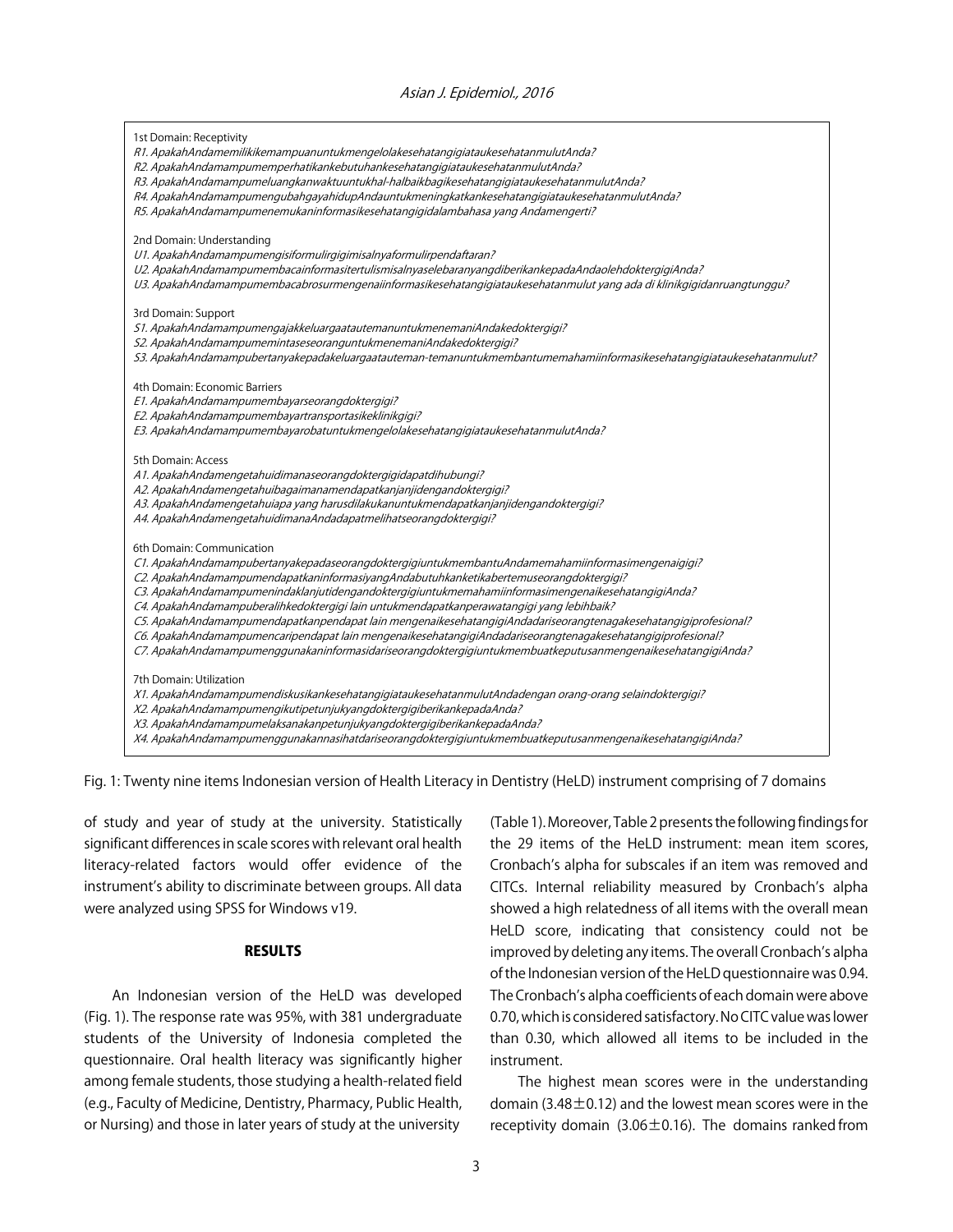#### Asian J. Epidemiol., 2016

| 1st Domain: Receptivity<br>R1. ApakahAndamemilikikemampuanuntukmengelolakesehatangigiataukesehatanmulutAnda?<br>R2. ApakahAndamampumemperhatikankebutuhankesehatangigiataukesehatanmulutAnda?<br>R3. ApakahAndamampumeluangkanwaktuuntukhal-halbaikbagikesehatangigiataukesehatanmulutAnda?<br>R4. ApakahAndamampumengubahgayahidupAndauntukmeningkatkankesehatangigiataukesehatanmulutAnda?<br>R5. ApakahAndamampumenemukaninformasikesehatangigidalambahasa yang Andamengerti?                                                                                                                                                                                                                                                                                             |
|------------------------------------------------------------------------------------------------------------------------------------------------------------------------------------------------------------------------------------------------------------------------------------------------------------------------------------------------------------------------------------------------------------------------------------------------------------------------------------------------------------------------------------------------------------------------------------------------------------------------------------------------------------------------------------------------------------------------------------------------------------------------------|
| 2nd Domain: Understanding<br>U1. ApakahAndamampumengisiformulirgigimisalnyaformulirpendaftaran?<br>U2. ApakahAndamampumembacainformasitertulismisalnyaselebaranyangdiberikankepadaAndaolehdoktergigiAnda?<br>U3. ApakahAndamampumembacabrosurmengenaiinformasikesehatangigiataukesehatanmulut yang ada di klinikgigidanruangtunggu?                                                                                                                                                                                                                                                                                                                                                                                                                                          |
| 3rd Domain: Support<br>S1. ApakahAndamampumengajakkeluargaatautemanuntukmenemaniAndakedoktergigi?<br>S2. ApakahAndamampumemintaseseoranguntukmenemaniAndakedoktergigi?<br>S3. ApakahAndamampubertanyakepadakeluargaatauteman-temanuntukmembantumemahamiinformasikesehatangigiataukesehatanmulut?                                                                                                                                                                                                                                                                                                                                                                                                                                                                             |
| 4th Domain: Economic Barriers<br>E1. ApakahAndamampumembayarseorangdoktergigi?<br>E2. ApakahAndamampumembayartransportasikeklinikgigi?<br>E3. ApakahAndamampumembayarobatuntukmengelolakesehatangigiataukesehatanmulutAnda?                                                                                                                                                                                                                                                                                                                                                                                                                                                                                                                                                  |
| 5th Domain: Access<br>A1. ApakahAndamengetahuidimanaseorangdoktergigidapatdihubungi?<br>A2. ApakahAndamengetahuibagaimanamendapatkanjanjidengandoktergigi?<br>A3. ApakahAndamengetahuiapa yang harusdilakukanuntukmendapatkanjanjidengandoktergigi?<br>A4. ApakahAndamengetahuidimanaAndadapatmelihatseorangdoktergigi?                                                                                                                                                                                                                                                                                                                                                                                                                                                      |
| 6th Domain: Communication<br>C1. ApakahAndamampubertanyakepadaseorangdoktergigiuntukmembantuAndamemahamiinformasimengenaigigi?<br>C2. ApakahAndamampumendapatkaninformasiyangAndabutuhkanketikabertemuseorangdoktergigi?<br>C3. ApakahAndamampumenindaklanjutidengandoktergigiuntukmemahamiinformasimengenaikesehatangigiAnda?<br>C4. ApakahAndamampuberalihkedoktergigi lain untukmendapatkanperawatangigi yang lebihbaik?<br>C5. ApakahAndamampumendapatkanpendapat lain mengenaikesehatangigiAndadariseorangtenagakesehatangigiprofesional?<br>C6. ApakahAndamampumencaripendapat lain mengenaikesehatangigiAndadariseorangtenagakesehatangigiprofesional?<br>C7. ApakahAndamampumenggunakaninformasidariseorangdoktergigiuntukmembuatkeputusanmengenaikesehatangigiAnda? |
| 7th Domain: Utilization<br>X1. ApakahAndamampumendiskusikankesehatangigiataukesehatanmulutAndadengan orang-orang selaindoktergigi?<br>X2. ApakahAndamampumengikutipetunjukyangdoktergigiberikankepadaAnda?<br>X3. ApakahAndamampumelaksanakanpetunjukyangdoktergigiberikankepadaAnda?<br>X4. ApakahAndamampumenggunakannasihatdariseorangdoktergigiuntukmembuatkeputusanmengenaikesehatangigiAnda?                                                                                                                                                                                                                                                                                                                                                                           |

Fig. 1: Twenty nine items Indonesian version of Health Literacy in Dentistry (HeLD) instrument comprising of 7 domains

of study and year of study at the university. Statistically significant differences in scale scores with relevant oral health literacy-related factors would offer evidence of the instrument's ability to discriminate between groups. All data were analyzed using SPSS for Windows v19.

#### RESULTS

An Indonesian version of the HeLD was developed (Fig. 1). The response rate was 95%, with 381 undergraduate students of the University of Indonesia completed the questionnaire. Oral health literacy was significantly higher among female students, those studying a health-related field (e.g., Faculty of Medicine, Dentistry, Pharmacy, Public Health, or Nursing) and those in later years of study at the university (Table 1). Moreover, Table 2 presents the following findings for the 29 items of the HeLD instrument: mean item scores, Cronbach's alpha for subscales if an item was removed and CITCs. Internal reliability measured by Cronbach's alpha showed a high relatedness of all items with the overall mean HeLD score, indicating that consistency could not be improved by deleting any items. The overall Cronbach's alpha of the Indonesian version of the HeLD questionnaire was 0.94. The Cronbach's alpha coefficients of each domain were above 0.70, which is considered satisfactory. No CITC value was lower than 0.30, which allowed all items to be included in the instrument.

The highest mean scores were in the understanding domain (3.48 $\pm$ 0.12) and the lowest mean scores were in the receptivity domain (3.06 $\pm$ 0.16). The domains ranked from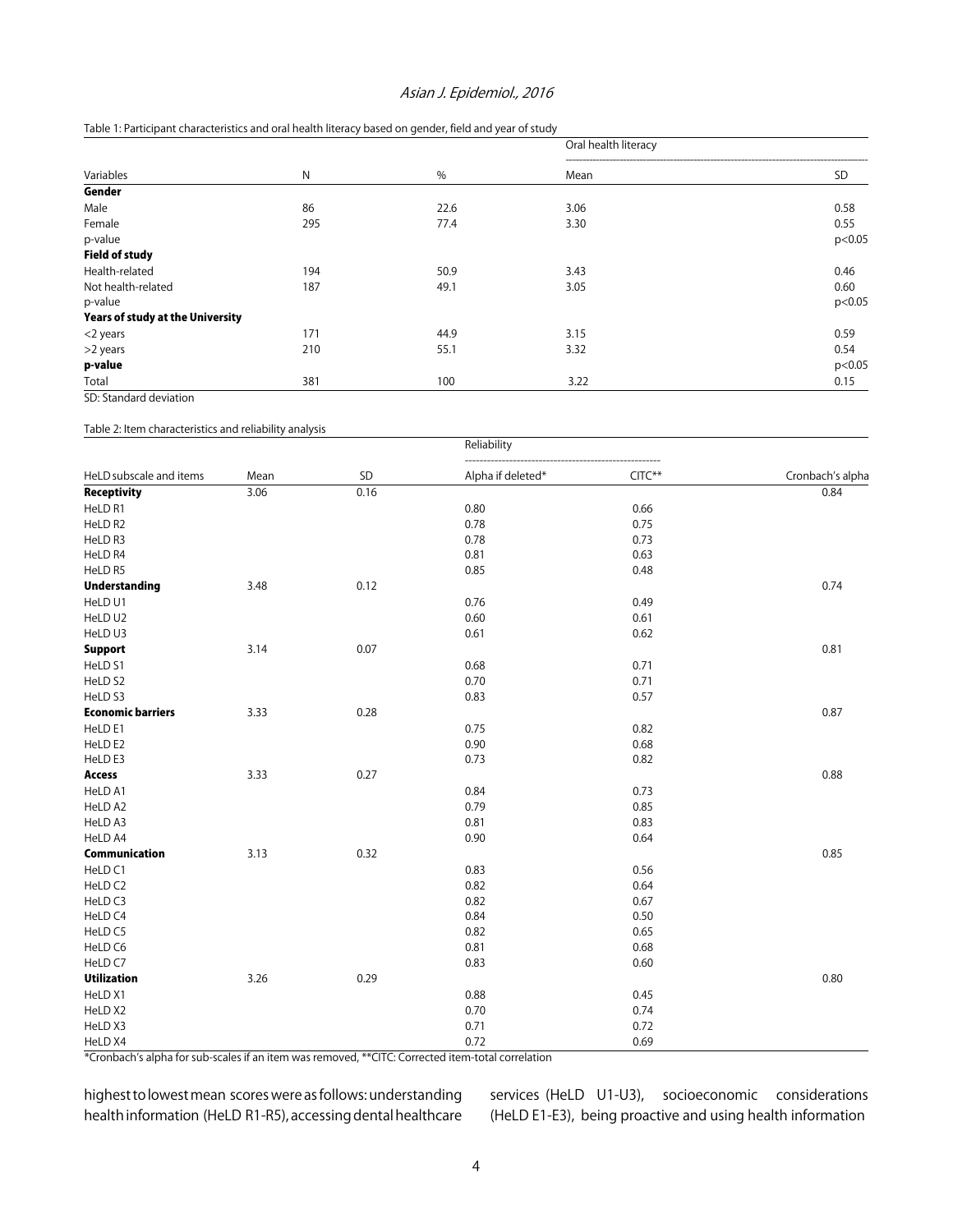# Asian J. Epidemiol., 2016

# Table 1: Participant characteristics and oral health literacy based on gender, field and year of study

| Variables                               |     | %    | Oral health literacy |           |  |
|-----------------------------------------|-----|------|----------------------|-----------|--|
|                                         | N   |      | Mean                 | <b>SD</b> |  |
| Gender                                  |     |      |                      |           |  |
| Male                                    | 86  | 22.6 | 3.06                 | 0.58      |  |
| Female                                  | 295 | 77.4 | 3.30                 | 0.55      |  |
| p-value                                 |     |      |                      | p<0.05    |  |
| <b>Field of study</b>                   |     |      |                      |           |  |
| Health-related                          | 194 | 50.9 | 3.43                 | 0.46      |  |
| Not health-related                      | 187 | 49.1 | 3.05                 | 0.60      |  |
| p-value                                 |     |      |                      | p<0.05    |  |
| <b>Years of study at the University</b> |     |      |                      |           |  |
| <2 years                                | 171 | 44.9 | 3.15                 | 0.59      |  |
| >2 years                                | 210 | 55.1 | 3.32                 | 0.54      |  |
| p-value                                 |     |      |                      | p<0.05    |  |
| Total                                   | 381 | 100  | 3.22                 | 0.15      |  |

SD: Standard deviation

Table 2: Item characteristics and reliability analysis

| HeLD subscale and items  |      |      | Reliability       |          |                  |  |
|--------------------------|------|------|-------------------|----------|------------------|--|
|                          | Mean | SD   | Alpha if deleted* | $CITC**$ | Cronbach's alpha |  |
| Receptivity              | 3.06 | 0.16 |                   |          | 0.84             |  |
| HeLD R1                  |      |      | 0.80              | 0.66     |                  |  |
| HeLD R2                  |      |      | 0.78              | 0.75     |                  |  |
| HeLD R3                  |      |      | 0.78              | 0.73     |                  |  |
| HeLD R4                  |      |      | 0.81              | 0.63     |                  |  |
| HeLD R5                  |      |      | 0.85              | 0.48     |                  |  |
| <b>Understanding</b>     | 3.48 | 0.12 |                   |          | 0.74             |  |
| HeLD U1                  |      |      | 0.76              | 0.49     |                  |  |
| HeLD U2                  |      |      | 0.60              | 0.61     |                  |  |
| HeLD U3                  |      |      | 0.61              | 0.62     |                  |  |
| <b>Support</b>           | 3.14 | 0.07 |                   |          | 0.81             |  |
| HeLD <sub>S1</sub>       |      |      | 0.68              | 0.71     |                  |  |
| HeLD S2                  |      |      | 0.70              | 0.71     |                  |  |
| HeLD S3                  |      |      | 0.83              | 0.57     |                  |  |
| <b>Economic barriers</b> | 3.33 | 0.28 |                   |          | 0.87             |  |
| HeLD E1                  |      |      | 0.75              | 0.82     |                  |  |
| HeLD E2                  |      |      | 0.90              | 0.68     |                  |  |
| HeLD E3                  |      |      | 0.73              | 0.82     |                  |  |
| <b>Access</b>            | 3.33 | 0.27 |                   |          | 0.88             |  |
| HeLD A1                  |      |      | 0.84              | 0.73     |                  |  |
| HeLD A2                  |      |      | 0.79              | 0.85     |                  |  |
| HeLD A3                  |      |      | 0.81              | 0.83     |                  |  |
| HeLD A4                  |      |      | 0.90              | 0.64     |                  |  |
| Communication            | 3.13 | 0.32 |                   |          | 0.85             |  |
| HeLD <sub>C1</sub>       |      |      | 0.83              | 0.56     |                  |  |
| HeLD C2                  |      |      | 0.82              | 0.64     |                  |  |
| HeLD <sub>C3</sub>       |      |      | 0.82              | 0.67     |                  |  |
| HeLD C4                  |      |      | 0.84              | 0.50     |                  |  |
| HeLD C5                  |      |      | 0.82              | 0.65     |                  |  |
| HeLD C6                  |      |      | 0.81              | 0.68     |                  |  |
| HeLD C7                  |      |      | 0.83              | 0.60     |                  |  |
| <b>Utilization</b>       | 3.26 | 0.29 |                   |          | 0.80             |  |
| HeLD X1                  |      |      | 0.88              | 0.45     |                  |  |
| HeLD X2                  |      |      | 0.70              | 0.74     |                  |  |
| HeLD X3                  |      |      | 0.71              | 0.72     |                  |  |
| HeLD X4                  |      |      | 0.72              | 0.69     |                  |  |

\*Cronbach's alpha for sub-scales if an item was removed, \*\*CITC: Corrected item-total correlation

highest to lowest mean scores were as follows: understanding health information (HeLD R1-R5), accessing dental healthcare services (HeLD U1-U3), socioeconomic considerations (HeLD E1-E3), being proactive and using health information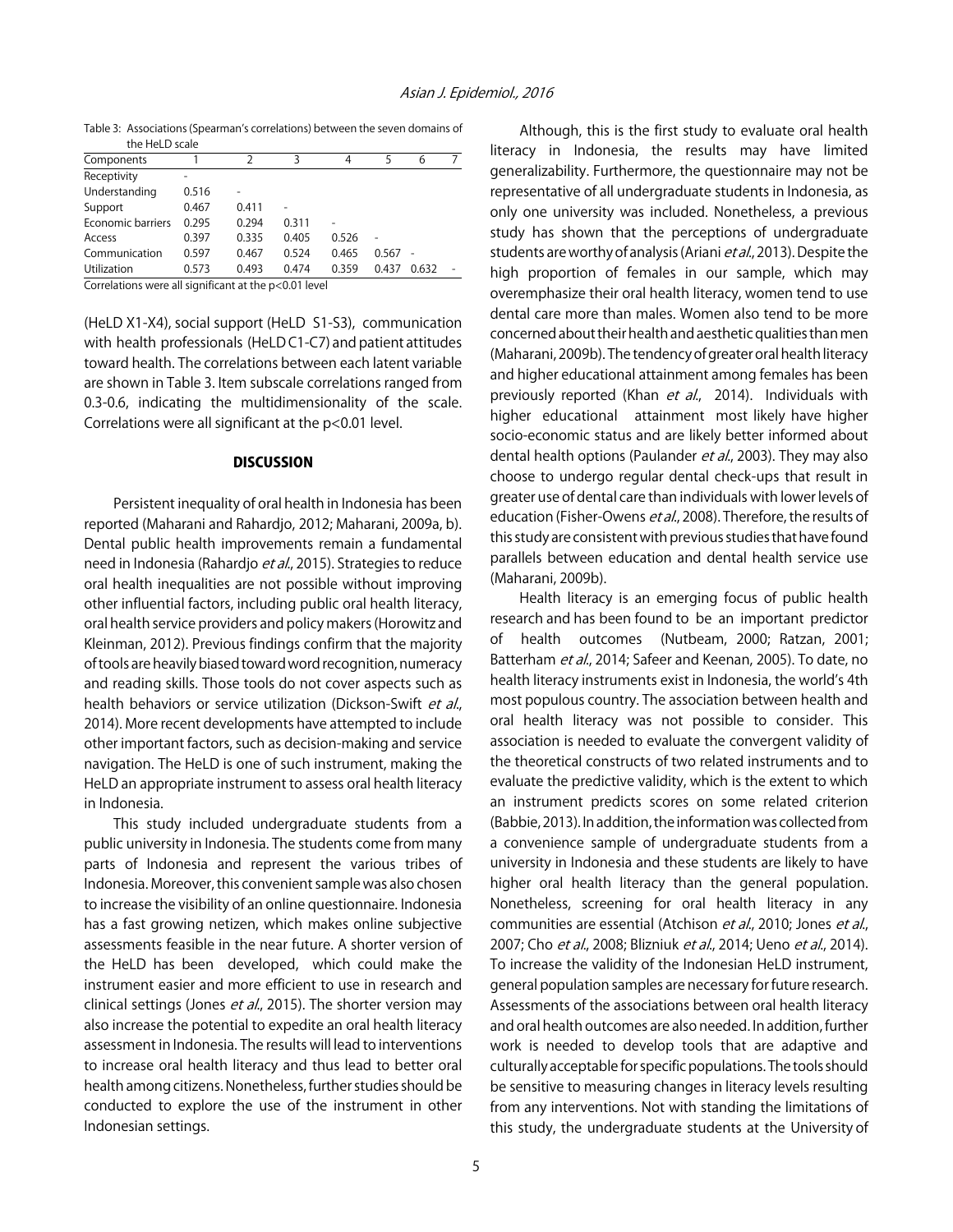Table 3: Associations (Spearman's correlations) between the seven domains of the HeLD scale

| Components        |       | 2     | 3       | 4     | 5     | 6     |  |
|-------------------|-------|-------|---------|-------|-------|-------|--|
| Receptivity       |       |       |         |       |       |       |  |
| Understanding     | 0.516 |       |         |       |       |       |  |
| Support           | 0.467 | 0.411 |         |       |       |       |  |
| Economic barriers | 0.295 | 0.294 | 0.311   |       |       |       |  |
| Access            | 0.397 | 0.335 | 0.405   | 0.526 |       |       |  |
| Communication     | 0.597 | 0.467 | 0.524   | 0.465 | 0.567 |       |  |
| Utilization       | 0.573 | 0.493 | 0.474   | 0.359 | 0.437 | 0.632 |  |
|                   |       |       | - - - - |       |       |       |  |

Correlations were all significant at the p<0.01 level

(HeLD X1-X4), social support (HeLD S1-S3), communication with health professionals (HeLD C1-C7) and patient attitudes toward health. The correlations between each latent variable are shown in Table 3. Item subscale correlations ranged from 0.3-0.6, indicating the multidimensionality of the scale. Correlations were all significant at the p<0.01 level.

# **DISCUSSION**

Persistent inequality of oral health in Indonesia has been reported (Maharani and Rahardjo, 2012; Maharani, 2009a, b). Dental public health improvements remain a fundamental need in Indonesia (Rahardjo et al., 2015). Strategies to reduce oral health inequalities are not possible without improving other influential factors, including public oral health literacy, oral health service providers and policy makers (Horowitz and Kleinman, 2012). Previous findings confirm that the majority of tools are heavily biased toward word recognition, numeracy and reading skills. Those tools do not cover aspects such as health behaviors or service utilization (Dickson-Swift et al., 2014). More recent developments have attempted to include other important factors, such as decision-making and service navigation. The HeLD is one of such instrument, making the HeLD an appropriate instrument to assess oral health literacy in Indonesia.

This study included undergraduate students from a public university in Indonesia. The students come from many parts of Indonesia and represent the various tribes of Indonesia. Moreover, this convenient sample was also chosen to increase the visibility of an online questionnaire. Indonesia has a fast growing netizen, which makes online subjective assessments feasible in the near future. A shorter version of the HeLD has been developed, which could make the instrument easier and more efficient to use in research and clinical settings (Jones et al., 2015). The shorter version may also increase the potential to expedite an oral health literacy assessment in Indonesia. The results will lead to interventions to increase oral health literacy and thus lead to better oral health among citizens. Nonetheless, further studies should be conducted to explore the use of the instrument in other Indonesian settings.

Although, this is the first study to evaluate oral health literacy in Indonesia, the results may have limited generalizability. Furthermore, the questionnaire may not be representative of all undergraduate students in Indonesia, as only one university was included. Nonetheless, a previous study has shown that the perceptions of undergraduate students are worthy of analysis (Ariani et al., 2013). Despite the high proportion of females in our sample, which may overemphasize their oral health literacy, women tend to use dental care more than males. Women also tend to be more concerned about their health and aesthetic qualities than men (Maharani, 2009b). The tendency of greater oral health literacy and higher educational attainment among females has been previously reported (Khan et al., 2014). Individuals with higher educational attainment most likely have higher socio-economic status and are likely better informed about dental health options (Paulander et al., 2003). They may also choose to undergo regular dental check-ups that result in greater use of dental care than individuals with lower levels of education (Fisher-Owens et al., 2008). Therefore, the results of this study are consistent with previous studies that have found parallels between education and dental health service use (Maharani, 2009b).

Health literacy is an emerging focus of public health research and has been found to be an important predictor of health outcomes (Nutbeam, 2000; Ratzan, 2001; Batterham et al., 2014; Safeer and Keenan, 2005). To date, no health literacy instruments exist in Indonesia, the world's 4th most populous country. The association between health and oral health literacy was not possible to consider. This association is needed to evaluate the convergent validity of the theoretical constructs of two related instruments and to evaluate the predictive validity, which is the extent to which an instrument predicts scores on some related criterion (Babbie, 2013). In addition, the information was collected from a convenience sample of undergraduate students from a university in Indonesia and these students are likely to have higher oral health literacy than the general population. Nonetheless, screening for oral health literacy in any communities are essential (Atchison et al., 2010; Jones et al., 2007; Cho et al., 2008; Blizniuk et al., 2014; Ueno et al., 2014). To increase the validity of the Indonesian HeLD instrument, general population samples are necessary for future research. Assessments of the associations between oral health literacy and oral health outcomes are also needed. In addition, further work is needed to develop tools that are adaptive and culturally acceptable for specific populations. The tools should be sensitive to measuring changes in literacy levels resulting from any interventions. Not with standing the limitations of this study, the undergraduate students at the University of